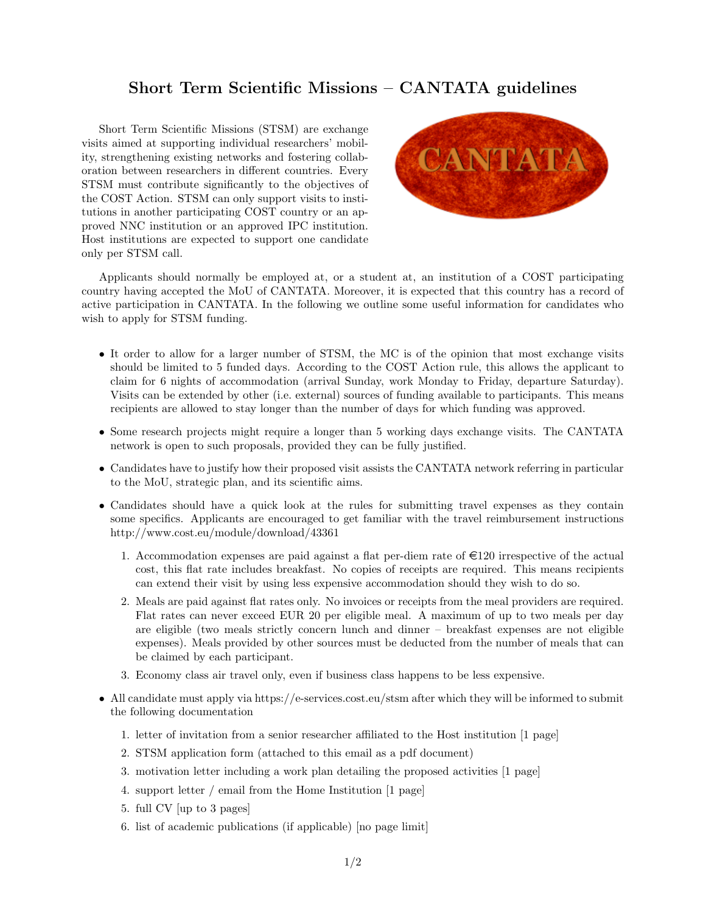## Short Term Scientific Missions – CANTATA guidelines

Short Term Scientific Missions (STSM) are exchange visits aimed at supporting individual researchers' mobility, strengthening existing networks and fostering collaboration between researchers in different countries. Every STSM must contribute significantly to the objectives of the COST Action. STSM can only support visits to institutions in another participating COST country or an approved NNC institution or an approved IPC institution. Host institutions are expected to support one candidate only per STSM call.



Applicants should normally be employed at, or a student at, an institution of a COST participating country having accepted the MoU of CANTATA. Moreover, it is expected that this country has a record of active participation in CANTATA. In the following we outline some useful information for candidates who wish to apply for STSM funding.

- It order to allow for a larger number of STSM, the MC is of the opinion that most exchange visits should be limited to 5 funded days. According to the COST Action rule, this allows the applicant to claim for 6 nights of accommodation (arrival Sunday, work Monday to Friday, departure Saturday). Visits can be extended by other (i.e. external) sources of funding available to participants. This means recipients are allowed to stay longer than the number of days for which funding was approved.
- Some research projects might require a longer than 5 working days exchange visits. The CANTATA network is open to such proposals, provided they can be fully justified.
- Candidates have to justify how their proposed visit assists the CANTATA network referring in particular to the MoU, strategic plan, and its scientific aims.
- Candidates should have a quick look at the rules for submitting travel expenses as they contain some specifics. Applicants are encouraged to get familiar with the travel reimbursement instructions http://www.cost.eu/module/download/43361
	- 1. Accommodation expenses are paid against a flat per-diem rate of  $\epsilon$ 120 irrespective of the actual cost, this flat rate includes breakfast. No copies of receipts are required. This means recipients can extend their visit by using less expensive accommodation should they wish to do so.
	- 2. Meals are paid against flat rates only. No invoices or receipts from the meal providers are required. Flat rates can never exceed EUR 20 per eligible meal. A maximum of up to two meals per day are eligible (two meals strictly concern lunch and dinner – breakfast expenses are not eligible expenses). Meals provided by other sources must be deducted from the number of meals that can be claimed by each participant.
	- 3. Economy class air travel only, even if business class happens to be less expensive.
- All candidate must apply via https://e-services.cost.eu/stsm after which they will be informed to submit the following documentation
	- 1. letter of invitation from a senior researcher affiliated to the Host institution [1 page]
	- 2. STSM application form (attached to this email as a pdf document)
	- 3. motivation letter including a work plan detailing the proposed activities [1 page]
	- 4. support letter / email from the Home Institution [1 page]
	- 5. full CV [up to 3 pages]
	- 6. list of academic publications (if applicable) [no page limit]